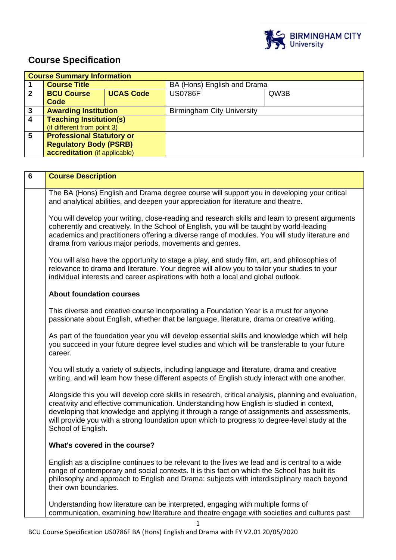

# **Course Specification**

|              | <b>Course Summary Information</b>     |  |                                   |      |  |
|--------------|---------------------------------------|--|-----------------------------------|------|--|
|              | <b>Course Title</b>                   |  | BA (Hons) English and Drama       |      |  |
| $\mathbf{2}$ | <b>UCAS Code</b><br><b>BCU Course</b> |  | <b>US0786F</b>                    | QW3B |  |
|              | Code                                  |  |                                   |      |  |
| 3            | <b>Awarding Institution</b>           |  | <b>Birmingham City University</b> |      |  |
| 4            | <b>Teaching Institution(s)</b>        |  |                                   |      |  |
|              | (if different from point 3)           |  |                                   |      |  |
| 5            | <b>Professional Statutory or</b>      |  |                                   |      |  |
|              | <b>Regulatory Body (PSRB)</b>         |  |                                   |      |  |
|              | accreditation (if applicable)         |  |                                   |      |  |

| 6 | <b>Course Description</b>                                                                                                                                                                                                                                                                                                                                                                                            |
|---|----------------------------------------------------------------------------------------------------------------------------------------------------------------------------------------------------------------------------------------------------------------------------------------------------------------------------------------------------------------------------------------------------------------------|
|   | The BA (Hons) English and Drama degree course will support you in developing your critical<br>and analytical abilities, and deepen your appreciation for literature and theatre.                                                                                                                                                                                                                                     |
|   | You will develop your writing, close-reading and research skills and learn to present arguments<br>coherently and creatively. In the School of English, you will be taught by world-leading<br>academics and practitioners offering a diverse range of modules. You will study literature and<br>drama from various major periods, movements and genres.                                                             |
|   | You will also have the opportunity to stage a play, and study film, art, and philosophies of<br>relevance to drama and literature. Your degree will allow you to tailor your studies to your<br>individual interests and career aspirations with both a local and global outlook.                                                                                                                                    |
|   | <b>About foundation courses</b>                                                                                                                                                                                                                                                                                                                                                                                      |
|   | This diverse and creative course incorporating a Foundation Year is a must for anyone<br>passionate about English, whether that be language, literature, drama or creative writing.                                                                                                                                                                                                                                  |
|   | As part of the foundation year you will develop essential skills and knowledge which will help<br>you succeed in your future degree level studies and which will be transferable to your future<br>career.                                                                                                                                                                                                           |
|   | You will study a variety of subjects, including language and literature, drama and creative<br>writing, and will learn how these different aspects of English study interact with one another.                                                                                                                                                                                                                       |
|   | Alongside this you will develop core skills in research, critical analysis, planning and evaluation,<br>creativity and effective communication. Understanding how English is studied in context,<br>developing that knowledge and applying it through a range of assignments and assessments,<br>will provide you with a strong foundation upon which to progress to degree-level study at the<br>School of English. |
|   | What's covered in the course?                                                                                                                                                                                                                                                                                                                                                                                        |
|   | English as a discipline continues to be relevant to the lives we lead and is central to a wide<br>range of contemporary and social contexts. It is this fact on which the School has built its<br>philosophy and approach to English and Drama: subjects with interdisciplinary reach beyond<br>their own boundaries.                                                                                                |
|   | Understanding how literature can be interpreted, engaging with multiple forms of<br>communication, examining how literature and theatre engage with societies and cultures past                                                                                                                                                                                                                                      |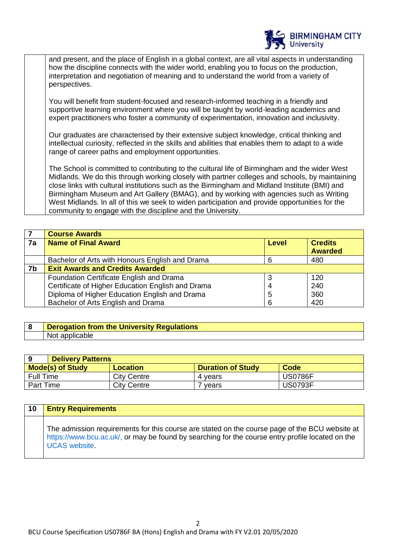

and present, and the place of English in a global context, are all vital aspects in understanding how the discipline connects with the wider world, enabling you to focus on the production, interpretation and negotiation of meaning and to understand the world from a variety of perspectives.

You will benefit from student-focused and research-informed teaching in a friendly and supportive learning environment where you will be taught by world-leading academics and expert practitioners who foster a community of experimentation, innovation and inclusivity.

Our graduates are characterised by their extensive subject knowledge, critical thinking and intellectual curiosity, reflected in the skills and abilities that enables them to adapt to a wide range of career paths and employment opportunities.

The School is committed to contributing to the cultural life of Birmingham and the wider West Midlands. We do this through working closely with partner colleges and schools, by maintaining close links with cultural institutions such as the Birmingham and Midland Institute (BMI) and Birmingham Museum and Art Gallery (BMAG), and by working with agencies such as Writing West Midlands. In all of this we seek to widen participation and provide opportunities for the community to engage with the discipline and the University.

|    | <b>Course Awards</b>                              |              |                |
|----|---------------------------------------------------|--------------|----------------|
| 7a | <b>Name of Final Award</b>                        | <b>Level</b> | <b>Credits</b> |
|    |                                                   |              | <b>Awarded</b> |
|    | Bachelor of Arts with Honours English and Drama   |              | 480            |
| 7b | <b>Exit Awards and Credits Awarded</b>            |              |                |
|    | Foundation Certificate English and Drama          |              | 120            |
|    | Certificate of Higher Education English and Drama |              | 240            |
|    | Diploma of Higher Education English and Drama     | 5            | 360            |
|    | Bachelor of Arts English and Drama                | 6            | 420            |

## **8 Derogation from the University Regulations**  Not applicable

|                                                                                       | <b>Delivery Patterns</b> |         |                |  |  |
|---------------------------------------------------------------------------------------|--------------------------|---------|----------------|--|--|
| <b>Mode(s) of Study</b><br><b>Code</b><br><b>Duration of Study</b><br><b>Location</b> |                          |         |                |  |  |
| <b>Full Time</b>                                                                      | <b>City Centre</b>       | 4 vears | <b>US0786F</b> |  |  |
| Part Time                                                                             | <b>City Centre</b>       | 7 vears | <b>US0793F</b> |  |  |

| 10 | <b>Entry Requirements</b>                                                                                                                                                                                                  |
|----|----------------------------------------------------------------------------------------------------------------------------------------------------------------------------------------------------------------------------|
|    | The admission requirements for this course are stated on the course page of the BCU website at<br>https://www.bcu.ac.uk/, or may be found by searching for the course entry profile located on the<br><b>UCAS</b> website. |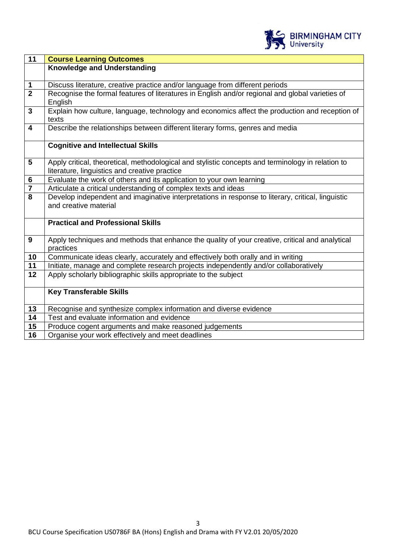

| 11                      | <b>Course Learning Outcomes</b>                                                                   |
|-------------------------|---------------------------------------------------------------------------------------------------|
|                         | <b>Knowledge and Understanding</b>                                                                |
|                         |                                                                                                   |
| 1                       | Discuss literature, creative practice and/or language from different periods                      |
| $\overline{2}$          | Recognise the formal features of literatures in English and/or regional and global varieties of   |
|                         | English                                                                                           |
| $\overline{3}$          | Explain how culture, language, technology and economics affect the production and reception of    |
|                         | texts                                                                                             |
| $\overline{\mathbf{4}}$ | Describe the relationships between different literary forms, genres and media                     |
|                         |                                                                                                   |
|                         | <b>Cognitive and Intellectual Skills</b>                                                          |
|                         |                                                                                                   |
| $5\phantom{1}$          | Apply critical, theoretical, methodological and stylistic concepts and terminology in relation to |
|                         | literature, linguistics and creative practice                                                     |
| $\bf 6$                 | Evaluate the work of others and its application to your own learning                              |
| $\overline{\mathbf{7}}$ | Articulate a critical understanding of complex texts and ideas                                    |
| 8                       | Develop independent and imaginative interpretations in response to literary, critical, linguistic |
|                         | and creative material                                                                             |
|                         |                                                                                                   |
|                         | <b>Practical and Professional Skills</b>                                                          |
|                         |                                                                                                   |
| $\boldsymbol{9}$        | Apply techniques and methods that enhance the quality of your creative, critical and analytical   |
|                         | practices                                                                                         |
| 10                      | Communicate ideas clearly, accurately and effectively both orally and in writing                  |
| 11                      | Initiate, manage and complete research projects independently and/or collaboratively              |
| 12                      | Apply scholarly bibliographic skills appropriate to the subject                                   |
|                         | <b>Key Transferable Skills</b>                                                                    |
|                         |                                                                                                   |
| 13                      | Recognise and synthesize complex information and diverse evidence                                 |
| $\overline{14}$         | Test and evaluate information and evidence                                                        |
| 15                      | Produce cogent arguments and make reasoned judgements                                             |
| 16                      | Organise your work effectively and meet deadlines                                                 |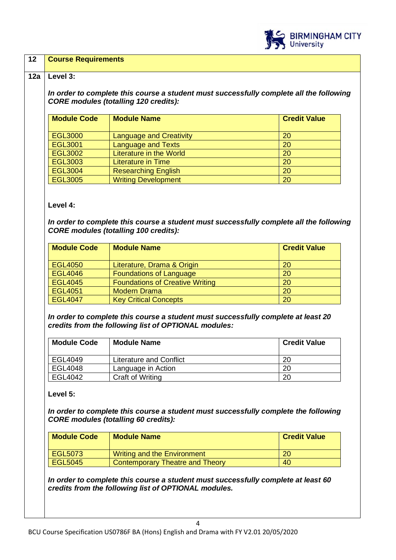

#### **12 Course Requirements**

#### **12a Level 3:**

*In order to complete this course a student must successfully complete all the following CORE modules (totalling 120 credits):*

| <b>Module Code</b> | <b>Module Name</b>             | <b>Credit Value</b> |
|--------------------|--------------------------------|---------------------|
| <b>EGL3000</b>     | <b>Language and Creativity</b> | 20                  |
| <b>EGL3001</b>     | <b>Language and Texts</b>      | 20                  |
| <b>EGL3002</b>     | <b>Literature in the World</b> | 20                  |
| <b>EGL3003</b>     | <b>Literature in Time</b>      | 20                  |
| <b>EGL3004</b>     | <b>Researching English</b>     | 20                  |
| <b>EGL3005</b>     | <b>Writing Development</b>     | 20                  |

#### **Level 4:**

*In order to complete this course a student must successfully complete all the following CORE modules (totalling 100 credits):*

| <b>Module Code</b> | <b>Module Name</b>                     | <b>Credit Value</b> |
|--------------------|----------------------------------------|---------------------|
| EGL4050            | Literature, Drama & Origin             | 20                  |
| <b>EGL4046</b>     | <b>Foundations of Language</b>         | 20                  |
| <b>EGL4045</b>     | <b>Foundations of Creative Writing</b> | 20                  |
| EGL4051            | <b>Modern Drama</b>                    | 20                  |
| <b>EGL4047</b>     | <b>Key Critical Concepts</b>           | 20                  |

*In order to complete this course a student must successfully complete at least 20 credits from the following list of OPTIONAL modules:*

| <b>Module Code</b> | <b>Module Name</b>      | <b>Credit Value</b> |
|--------------------|-------------------------|---------------------|
| EGL4049            | Literature and Conflict | 20                  |
| EGL4048            | Language in Action      | 20                  |
| EGL4042            | Craft of Writing        | 20                  |

#### **Level 5:**

*In order to complete this course a student must successfully complete the following CORE modules (totalling 60 credits):*

| <b>Module Code</b> | <b>Module Name</b>                     | <b>Credit Value</b> |
|--------------------|----------------------------------------|---------------------|
| EGL5073            | Writing and the Environment            | 20                  |
| <b>EGL5045</b>     | <b>Contemporary Theatre and Theory</b> | 40                  |

*In order to complete this course a student must successfully complete at least 60 credits from the following list of OPTIONAL modules.*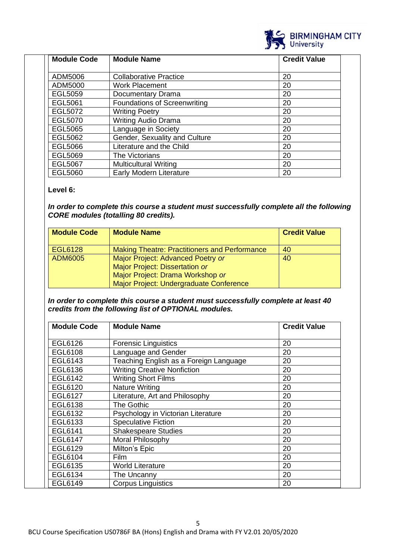

| <b>Module Code</b> | <b>Module Name</b>                  | <b>Credit Value</b> |
|--------------------|-------------------------------------|---------------------|
|                    |                                     |                     |
| ADM5006            | <b>Collaborative Practice</b>       | 20                  |
| ADM5000            | <b>Work Placement</b>               | 20                  |
| EGL5059            | Documentary Drama                   | 20                  |
| <b>EGL5061</b>     | <b>Foundations of Screenwriting</b> | 20                  |
| EGL5072            | <b>Writing Poetry</b>               | 20                  |
| EGL5070            | <b>Writing Audio Drama</b>          | 20                  |
| <b>EGL5065</b>     | Language in Society                 | 20                  |
| EGL5062            | Gender, Sexuality and Culture       | 20                  |
| <b>EGL5066</b>     | Literature and the Child            | 20                  |
| EGL5069            | The Victorians                      | 20                  |
| <b>EGL5067</b>     | <b>Multicultural Writing</b>        | 20                  |
| <b>EGL5060</b>     | Early Modern Literature             | 20                  |

## **Level 6:**

*In order to complete this course a student must successfully complete all the following CORE modules (totalling 80 credits).*

| <b>Module Code</b> | <b>Module Name</b>                                   | <b>Credit Value</b> |
|--------------------|------------------------------------------------------|---------------------|
| EGL6128            | <b>Making Theatre: Practitioners and Performance</b> | 40                  |
| <b>ADM6005</b>     | Major Project: Advanced Poetry or                    | 40                  |
|                    | Major Project: Dissertation or                       |                     |
|                    | Major Project: Drama Workshop or                     |                     |
|                    | Major Project: Undergraduate Conference              |                     |

*In order to complete this course a student must successfully complete at least 40 credits from the following list of OPTIONAL modules.* 

| <b>Module Code</b> | <b>Module Name</b>                     | <b>Credit Value</b> |
|--------------------|----------------------------------------|---------------------|
| <b>EGL6126</b>     | <b>Forensic Linguistics</b>            | 20                  |
| EGL6108            | Language and Gender                    | 20                  |
| EGL6143            | Teaching English as a Foreign Language | 20                  |
| EGL6136            | <b>Writing Creative Nonfiction</b>     | 20                  |
| EGL6142            | <b>Writing Short Films</b>             | 20                  |
| EGL6120            | <b>Nature Writing</b>                  | 20                  |
| <b>EGL6127</b>     | Literature, Art and Philosophy         | 20                  |
| EGL6138            | The Gothic                             | 20                  |
| EGL6132            | Psychology in Victorian Literature     | 20                  |
| EGL6133            | <b>Speculative Fiction</b>             | 20                  |
| EGL6141            | <b>Shakespeare Studies</b>             | 20                  |
| <b>EGL6147</b>     | Moral Philosophy                       | 20                  |
| EGL6129            | Milton's Epic                          | 20                  |
| EGL6104            | Film                                   | 20                  |
| EGL6135            | <b>World Literature</b>                | 20                  |
| EGL6134            | The Uncanny                            | 20                  |
| EGL6149            | <b>Corpus Linguistics</b>              | 20                  |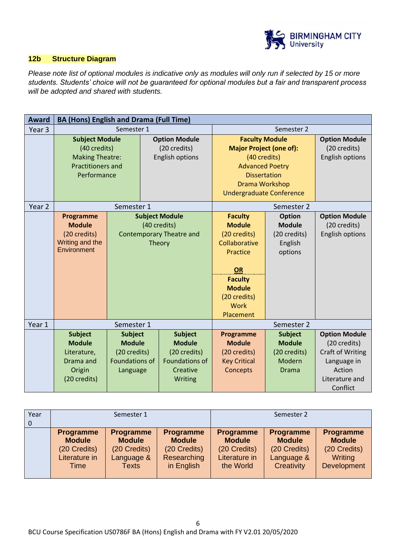

## **12b Structure Diagram**

*Please note list of optional modules is indicative only as modules will only run if selected by 15 or more students. Students' choice will not be guaranteed for optional modules but a fair and transparent process will be adopted and shared with students.* 

| <b>Award</b>      | <b>BA (Hons) English and Drama (Full Time)</b>                                                             |                                                                                      |                                                                                                 |                                                                                                                                                                               |                                                                           |                                                                                                                        |
|-------------------|------------------------------------------------------------------------------------------------------------|--------------------------------------------------------------------------------------|-------------------------------------------------------------------------------------------------|-------------------------------------------------------------------------------------------------------------------------------------------------------------------------------|---------------------------------------------------------------------------|------------------------------------------------------------------------------------------------------------------------|
| Year <sub>3</sub> | Semester 1                                                                                                 |                                                                                      | Semester 2                                                                                      |                                                                                                                                                                               |                                                                           |                                                                                                                        |
|                   | <b>Subject Module</b><br>(40 credits)<br><b>Making Theatre:</b><br><b>Practitioners and</b><br>Performance |                                                                                      | <b>Option Module</b><br>(20 credits)<br><b>English options</b>                                  | <b>Faculty Module</b><br><b>Major Project (one of):</b><br>(40 credits)<br><b>Advanced Poetry</b><br><b>Dissertation</b><br>Drama Workshop<br><b>Undergraduate Conference</b> |                                                                           | <b>Option Module</b><br>(20 credits)<br><b>English options</b>                                                         |
| Year <sub>2</sub> |                                                                                                            | Semester 1                                                                           |                                                                                                 |                                                                                                                                                                               | Semester 2                                                                |                                                                                                                        |
|                   | Programme<br><b>Module</b><br>(20 credits)<br>Writing and the<br>Environment                               |                                                                                      | <b>Subject Module</b><br>(40 credits)<br><b>Contemporary Theatre and</b><br>Theory              | <b>Faculty</b><br><b>Module</b><br>(20 credits)<br>Collaborative<br>Practice<br>OR<br><b>Faculty</b><br><b>Module</b><br>(20 credits)<br>Work<br>Placement                    | <b>Option</b><br><b>Module</b><br>(20 credits)<br>English<br>options      | <b>Option Module</b><br>(20 credits)<br><b>English options</b>                                                         |
| Year 1            | Semester 1                                                                                                 |                                                                                      |                                                                                                 | Semester 2                                                                                                                                                                    |                                                                           |                                                                                                                        |
|                   | <b>Subject</b><br><b>Module</b><br>Literature,<br>Drama and<br>Origin<br>(20 credits)                      | <b>Subject</b><br><b>Module</b><br>(20 credits)<br><b>Foundations of</b><br>Language | <b>Subject</b><br><b>Module</b><br>(20 credits)<br><b>Foundations of</b><br>Creative<br>Writing | Programme<br><b>Module</b><br>(20 credits)<br><b>Key Critical</b><br>Concepts                                                                                                 | <b>Subject</b><br><b>Module</b><br>(20 credits)<br>Modern<br><b>Drama</b> | <b>Option Module</b><br>(20 credits)<br><b>Craft of Writing</b><br>Language in<br>Action<br>Literature and<br>Conflict |

| Year     |                                                                            | Semester 1                                                                      |                                                                                |                                                                                 | Semester 2                                                                    |                                                                             |
|----------|----------------------------------------------------------------------------|---------------------------------------------------------------------------------|--------------------------------------------------------------------------------|---------------------------------------------------------------------------------|-------------------------------------------------------------------------------|-----------------------------------------------------------------------------|
| $\Omega$ |                                                                            |                                                                                 |                                                                                |                                                                                 |                                                                               |                                                                             |
|          | <b>Programme</b><br><b>Module</b><br>(20 Credits)<br>Literature in<br>Time | <b>Programme</b><br><b>Module</b><br>(20 Credits)<br>Language &<br><b>Texts</b> | <b>Programme</b><br><b>Module</b><br>(20 Credits)<br>Researching<br>in English | <b>Programme</b><br><b>Module</b><br>(20 Credits)<br>Literature in<br>the World | <b>Programme</b><br><b>Module</b><br>(20 Credits)<br>Language &<br>Creativity | <b>Programme</b><br><b>Module</b><br>(20 Credits)<br>Writing<br>Development |
|          |                                                                            |                                                                                 |                                                                                |                                                                                 |                                                                               |                                                                             |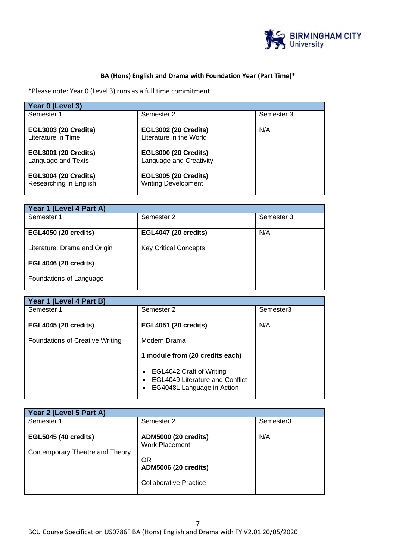

## **BA (Hons) English and Drama with Foundation Year (Part Time)\***

\*Please note: Year 0 (Level 3) runs as a full time commitment.

| Year 0 (Level 3)            |                             |            |
|-----------------------------|-----------------------------|------------|
| Semester 1                  | Semester 2                  | Semester 3 |
| <b>EGL3003 (20 Credits)</b> | <b>EGL3002 (20 Credits)</b> | N/A        |
| Literature in Time          | Literature in the World     |            |
| <b>EGL3001 (20 Credits)</b> | <b>EGL3000 (20 Credits)</b> |            |
| Language and Texts          | Language and Creativity     |            |
| <b>EGL3004 (20 Credits)</b> | <b>EGL3005 (20 Credits)</b> |            |
| Researching in English      | <b>Writing Development</b>  |            |

| Year 1 (Level 4 Part A)      |            |  |  |
|------------------------------|------------|--|--|
| Semester 2                   | Semester 3 |  |  |
| <b>EGL4047 (20 credits)</b>  | N/A        |  |  |
| <b>Key Critical Concepts</b> |            |  |  |
|                              |            |  |  |
|                              |            |  |  |
|                              |            |  |  |

| Year 1 (Level 4 Part B)                |                                                                                                       |           |  |
|----------------------------------------|-------------------------------------------------------------------------------------------------------|-----------|--|
| Semester 1                             | Semester 2                                                                                            | Semester3 |  |
| <b>EGL4045 (20 credits)</b>            | <b>EGL4051 (20 credits)</b>                                                                           | N/A       |  |
| <b>Foundations of Creative Writing</b> | Modern Drama                                                                                          |           |  |
|                                        | 1 module from (20 credits each)                                                                       |           |  |
|                                        | EGL4042 Craft of Writing<br><b>EGL4049 Literature and Conflict</b><br>EG4048L Language in Action<br>٠ |           |  |

| Year 2 (Level 5 Part A)         |                                                      |           |  |
|---------------------------------|------------------------------------------------------|-----------|--|
| Semester 1                      | Semester 2                                           | Semester3 |  |
| <b>EGL5045 (40 credits)</b>     | <b>ADM5000 (20 credits)</b><br><b>Work Placement</b> | N/A       |  |
| Contemporary Theatre and Theory | <b>OR</b><br><b>ADM5006 (20 credits)</b>             |           |  |
|                                 | <b>Collaborative Practice</b>                        |           |  |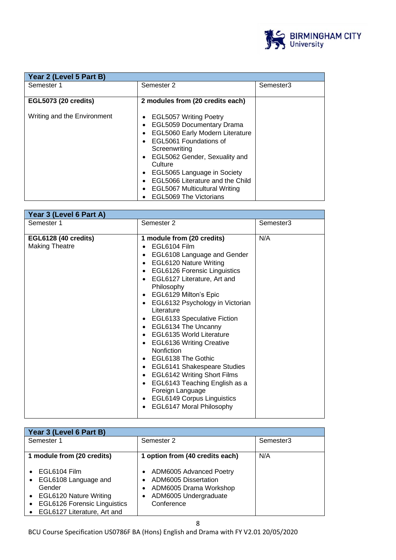

| Year 2 (Level 5 Part B)     |                                                                                                                                                                                                                                                                                                                                                |           |
|-----------------------------|------------------------------------------------------------------------------------------------------------------------------------------------------------------------------------------------------------------------------------------------------------------------------------------------------------------------------------------------|-----------|
| Semester 1                  | Semester 2                                                                                                                                                                                                                                                                                                                                     | Semester3 |
| <b>EGL5073 (20 credits)</b> | 2 modules from (20 credits each)                                                                                                                                                                                                                                                                                                               |           |
| Writing and the Environment | <b>EGL5057 Writing Poetry</b><br><b>EGL5059 Documentary Drama</b><br><b>EGL5060 Early Modern Literature</b><br>EGL5061 Foundations of<br>Screenwriting<br>EGL5062 Gender, Sexuality and<br>Culture<br>EGL5065 Language in Society<br>EGL5066 Literature and the Child<br><b>EGL5067 Multicultural Writing</b><br><b>EGL5069 The Victorians</b> |           |

| Year 3 (Level 6 Part A)                       |                                                                                                                                                                                                                                                                                                                                                                                                                                                                                                                                                                                                                                                                                                                                                                                                             |           |
|-----------------------------------------------|-------------------------------------------------------------------------------------------------------------------------------------------------------------------------------------------------------------------------------------------------------------------------------------------------------------------------------------------------------------------------------------------------------------------------------------------------------------------------------------------------------------------------------------------------------------------------------------------------------------------------------------------------------------------------------------------------------------------------------------------------------------------------------------------------------------|-----------|
| Semester 1                                    | Semester 2                                                                                                                                                                                                                                                                                                                                                                                                                                                                                                                                                                                                                                                                                                                                                                                                  | Semester3 |
| EGL6128 (40 credits)<br><b>Making Theatre</b> | 1 module from (20 credits)<br>EGL6104 Film<br>EGL6108 Language and Gender<br>٠<br><b>EGL6120 Nature Writing</b><br>$\bullet$<br><b>EGL6126 Forensic Linguistics</b><br>$\bullet$<br>EGL6127 Literature, Art and<br>٠<br>Philosophy<br>EGL6129 Milton's Epic<br>$\bullet$<br>EGL6132 Psychology in Victorian<br>$\bullet$<br>Literature<br><b>EGL6133 Speculative Fiction</b><br>٠<br>EGL6134 The Uncanny<br>٠<br><b>EGL6135 World Literature</b><br>$\bullet$<br><b>EGL6136 Writing Creative</b><br>٠<br>Nonfiction<br>EGL6138 The Gothic<br>$\bullet$<br>EGL6141 Shakespeare Studies<br>$\bullet$<br>EGL6142 Writing Short Films<br>$\bullet$<br>EGL6143 Teaching English as a<br>$\bullet$<br>Foreign Language<br><b>EGL6149 Corpus Linguistics</b><br>$\bullet$<br>EGL6147 Moral Philosophy<br>$\bullet$ | N/A       |

| Year 3 (Level 6 Part B)                                                                                                                                                                                         |                                                                                                                  |           |  |
|-----------------------------------------------------------------------------------------------------------------------------------------------------------------------------------------------------------------|------------------------------------------------------------------------------------------------------------------|-----------|--|
| Semester 1                                                                                                                                                                                                      | Semester 2                                                                                                       | Semester3 |  |
|                                                                                                                                                                                                                 |                                                                                                                  |           |  |
| 1 module from (20 credits)                                                                                                                                                                                      | 1 option from (40 credits each)                                                                                  | N/A       |  |
| EGL6104 Film<br>$\bullet$<br>EGL6108 Language and<br>$\bullet$<br>Gender<br>EGL6120 Nature Writing<br>$\bullet$<br><b>EGL6126 Forensic Linguistics</b><br>$\bullet$<br>EGL6127 Literature, Art and<br>$\bullet$ | ADM6005 Advanced Poetry<br>ADM6005 Dissertation<br>ADM6005 Drama Workshop<br>ADM6005 Undergraduate<br>Conference |           |  |

BCU Course Specification US0786F BA (Hons) English and Drama with FY V2.01 20/05/2020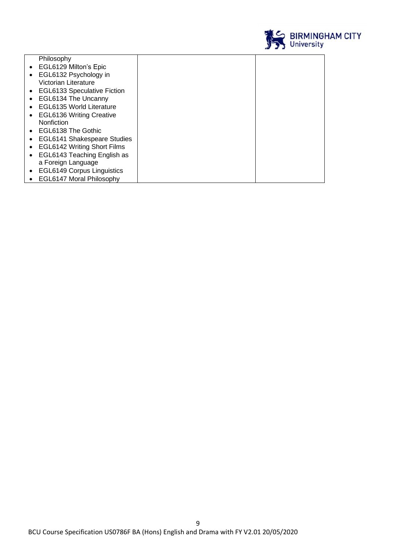

| Philosophy                         |  |
|------------------------------------|--|
| • EGL6129 Milton's Epic            |  |
| EGL6132 Psychology in              |  |
| Victorian Literature               |  |
| • EGL6133 Speculative Fiction      |  |
| EGL6134 The Uncanny                |  |
| <b>EGL6135 World Literature</b>    |  |
| <b>EGL6136 Writing Creative</b>    |  |
| Nonfiction                         |  |
| EGL6138 The Gothic                 |  |
| <b>EGL6141 Shakespeare Studies</b> |  |
| <b>EGL6142 Writing Short Films</b> |  |
| EGL6143 Teaching English as        |  |
| a Foreign Language                 |  |
| <b>EGL6149 Corpus Linguistics</b>  |  |
| <b>EGL6147 Moral Philosophy</b>    |  |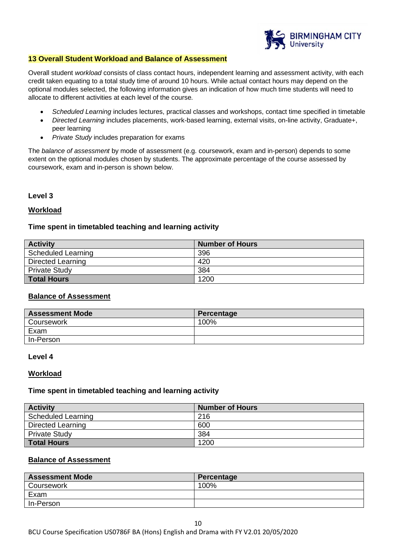

#### **13 Overall Student Workload and Balance of Assessment**

Overall student *workload* consists of class contact hours, independent learning and assessment activity, with each credit taken equating to a total study time of around 10 hours. While actual contact hours may depend on the optional modules selected, the following information gives an indication of how much time students will need to allocate to different activities at each level of the course.

- *Scheduled Learning* includes lectures, practical classes and workshops, contact time specified in timetable
- *Directed Learning* includes placements, work-based learning, external visits, on-line activity, Graduate+, peer learning
- *Private Study* includes preparation for exams

The *balance of assessment* by mode of assessment (e.g. coursework, exam and in-person) depends to some extent on the optional modules chosen by students. The approximate percentage of the course assessed by coursework, exam and in-person is shown below.

## **Level 3**

## **Workload**

## **Time spent in timetabled teaching and learning activity**

| <b>Activity</b>           | Number of Hours |
|---------------------------|-----------------|
| <b>Scheduled Learning</b> | 396             |
| Directed Learning         | 420             |
| <b>Private Study</b>      | 384             |
| <b>Total Hours</b>        | 1200            |

## **Balance of Assessment**

| <b>Assessment Mode</b> | Percentage |
|------------------------|------------|
| Coursework             | 100%       |
| Exam                   |            |
| In-Person              |            |

#### **Level 4**

#### **Workload**

#### **Time spent in timetabled teaching and learning activity**

| <b>Activity</b>           | Number of Hours |
|---------------------------|-----------------|
| <b>Scheduled Learning</b> | 216             |
| <b>Directed Learning</b>  | 600             |
| <b>Private Study</b>      | 384             |
| <b>Total Hours</b>        | 1200            |

## **Balance of Assessment**

| <b>Assessment Mode</b> | Percentage |
|------------------------|------------|
| Coursework             | 100%       |
| Exam                   |            |
| In-Person              |            |

10